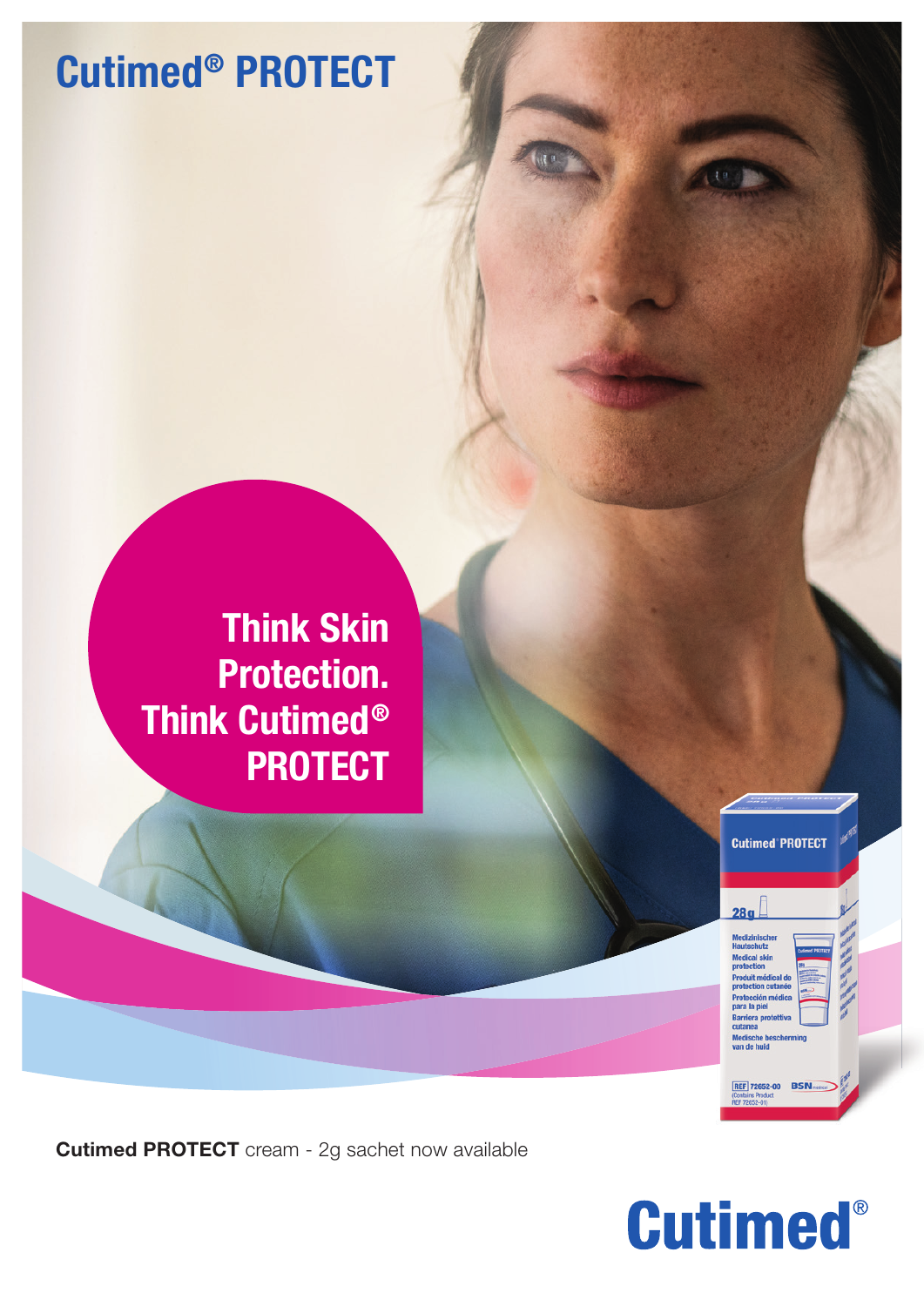## Cutimed® PROTECT



Cutimed PROTECT cream - 2g sachet now available



**Cutimed PROTECT** 

 $280$ 

 $th$ utz edical skin duit médical d tection cut

Medische bi<br>van de huid

**REF 72652-00 BS**